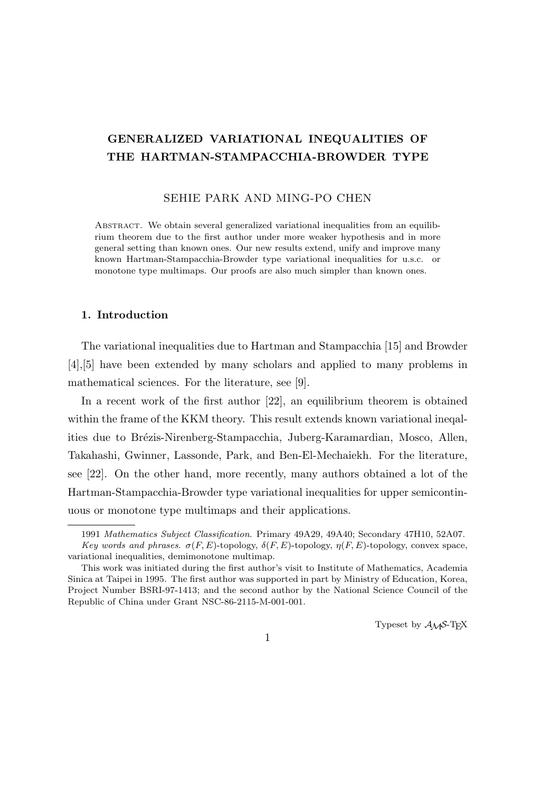# **GENERALIZED VARIATIONAL INEQUALITIES OF THE HARTMAN-STAMPACCHIA-BROWDER TYPE**

#### SEHIE PARK AND MING-PO CHEN

Abstract. We obtain several generalized variational inequalities from an equilibrium theorem due to the first author under more weaker hypothesis and in more general setting than known ones. Our new results extend, unify and improve many known Hartman-Stampacchia-Browder type variational inequalities for u.s.c. or monotone type multimaps. Our proofs are also much simpler than known ones.

## **1. Introduction**

The variational inequalities due to Hartman and Stampacchia [15] and Browder [4],[5] have been extended by many scholars and applied to many problems in mathematical sciences. For the literature, see [9].

In a recent work of the first author [22], an equilibrium theorem is obtained within the frame of the KKM theory. This result extends known variational ineqalities due to Brézis-Nirenberg-Stampacchia, Juberg-Karamardian, Mosco, Allen, Takahashi, Gwinner, Lassonde, Park, and Ben-El-Mechaiekh. For the literature, see [22]. On the other hand, more recently, many authors obtained a lot of the Hartman-Stampacchia-Browder type variational inequalities for upper semicontinuous or monotone type multimaps and their applications.

Typeset by  $A_{\mathcal{M}}S$ -T<sub>E</sub>X

<sup>1991</sup> *Mathematics Subject Classification*. Primary 49A29, 49A40; Secondary 47H10, 52A07. *Key words and phrases.*  $\sigma(F, E)$ -topology,  $\delta(F, E)$ -topology,  $\eta(F, E)$ -topology, convex space, variational inequalities, demimonotone multimap.

This work was initiated during the first author's visit to Institute of Mathematics, Academia Sinica at Taipei in 1995. The first author was supported in part by Ministry of Education, Korea, Project Number BSRI-97-1413; and the second author by the National Science Council of the Republic of China under Grant NSC-86-2115-M-001-001.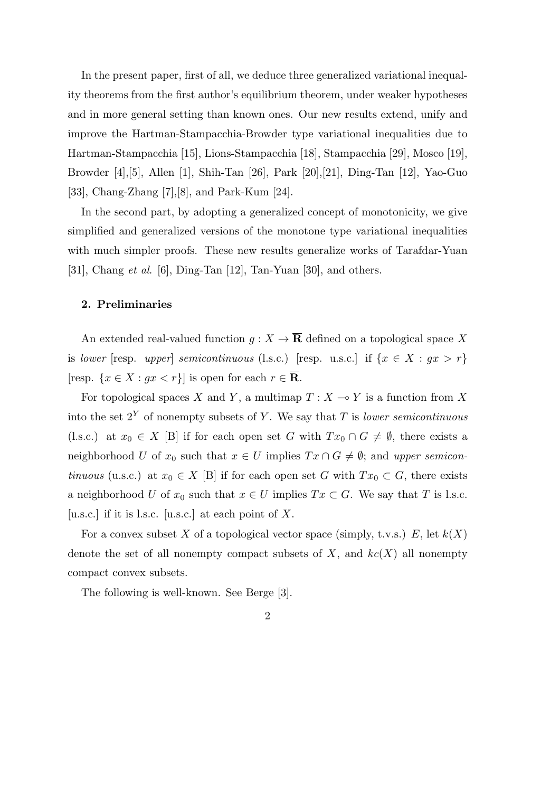In the present paper, first of all, we deduce three generalized variational inequality theorems from the first author's equilibrium theorem, under weaker hypotheses and in more general setting than known ones. Our new results extend, unify and improve the Hartman-Stampacchia-Browder type variational inequalities due to Hartman-Stampacchia [15], Lions-Stampacchia [18], Stampacchia [29], Mosco [19], Browder [4],[5], Allen [1], Shih-Tan [26], Park [20],[21], Ding-Tan [12], Yao-Guo [33], Chang-Zhang [7],[8], and Park-Kum [24].

In the second part, by adopting a generalized concept of monotonicity, we give simplified and generalized versions of the monotone type variational inequalities with much simpler proofs. These new results generalize works of Tarafdar-Yuan [31], Chang *et al*. [6], Ding-Tan [12], Tan-Yuan [30], and others.

# **2. Preliminaries**

An extended real-valued function  $g: X \to \overline{\mathbf{R}}$  defined on a topological space X is *lower* [resp. *upper*] *semicontinuous* (l.s.c.) [resp. u.s.c.] if  $\{x \in X : gx > r\}$ [resp.  $\{x \in X : gx < r\}$ ] is open for each  $r \in \overline{\mathbf{R}}$ .

For topological spaces *X* and *Y*, a multimap  $T : X \to Y$  is a function from *X* into the set 2*<sup>Y</sup>* of nonempty subsets of *Y* . We say that *T* is *lower semicontinuous* (l.s.c.) at  $x_0 \in X$  [B] if for each open set *G* with  $Tx_0 \cap G \neq \emptyset$ , there exists a neighborhood *U* of  $x_0$  such that  $x \in U$  implies  $Tx \cap G \neq \emptyset$ ; and *upper semicontinuous* (u.s.c.) at  $x_0 \in X$  [B] if for each open set *G* with  $Tx_0 \subset G$ , there exists a neighborhood *U* of  $x_0$  such that  $x \in U$  implies  $Tx \subset G$ . We say that *T* is l.s.c. [u.s.c.] if it is l.s.c. [u.s.c.] at each point of *X*.

For a convex subset *X* of a topological vector space (simply, t.v.s.)  $E$ , let  $k(X)$ denote the set of all nonempty compact subsets of  $X$ , and  $kc(X)$  all nonempty compact convex subsets.

The following is well-known. See Berge [3].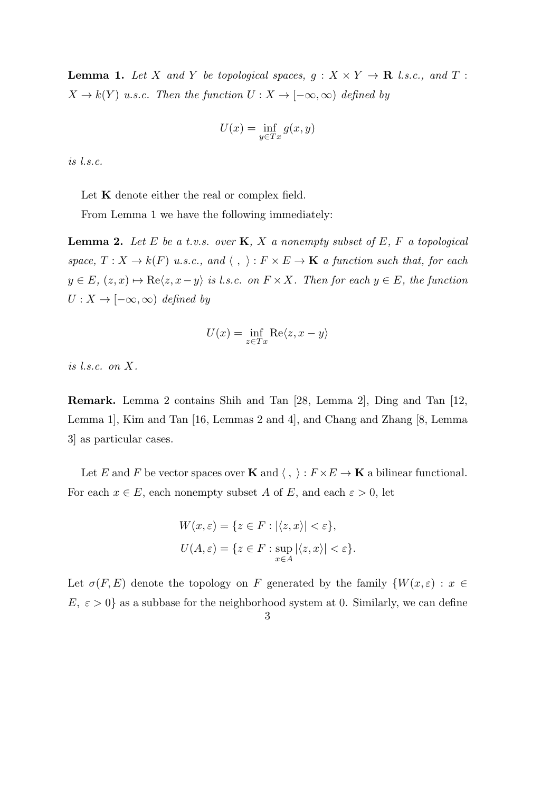**Lemma 1.** Let *X* and *Y* be topological spaces,  $g: X \times Y \to \mathbf{R}$  *l.s.c., and T*:  $X \to k(Y)$  *u.s.c.* Then the function  $U : X \to [-\infty, \infty)$  defined by

$$
U(x) = \inf_{y \in Tx} g(x, y)
$$

*is l.s.c.*

Let **K** denote either the real or complex field.

From Lemma 1 we have the following immediately:

**Lemma 2.** *Let E be a t.v.s. over* **K***, X a nonempty subset of E, F a topological space,*  $T: X \to k(F)$  *u.s.c.,* and  $\langle , \rangle: F \times E \to \mathbf{K}$  *a function such that, for each*  $y \in E$ *,*  $(z, x) \mapsto \text{Re}\langle z, x - y \rangle$  *is l.s.c. on*  $F \times X$ *. Then for each*  $y \in E$ *, the function*  $U: X \to [-\infty, \infty)$  *defined by* 

$$
U(x) = \inf_{z \in Tx} \text{Re}\langle z, x - y \rangle
$$

*is l.s.c. on X.*

**Remark.** Lemma 2 contains Shih and Tan [28, Lemma 2], Ding and Tan [12, Lemma 1], Kim and Tan [16, Lemmas 2 and 4], and Chang and Zhang [8, Lemma 3] as particular cases.

Let *E* and *F* be vector spaces over **K** and  $\langle , \rangle : F \times E \to \mathbf{K}$  a bilinear functional. For each  $x \in E$ , each nonempty subset *A* of *E*, and each  $\varepsilon > 0$ , let

$$
W(x,\varepsilon) = \{ z \in F : |\langle z, x \rangle| < \varepsilon \},
$$
\n
$$
U(A,\varepsilon) = \{ z \in F : \sup_{x \in A} |\langle z, x \rangle| < \varepsilon \}.
$$

Let  $\sigma(F, E)$  denote the topology on *F* generated by the family  $\{W(x, \varepsilon) : x \in E\}$  $E, \varepsilon > 0$ } as a subbase for the neighborhood system at 0. Similarly, we can define

3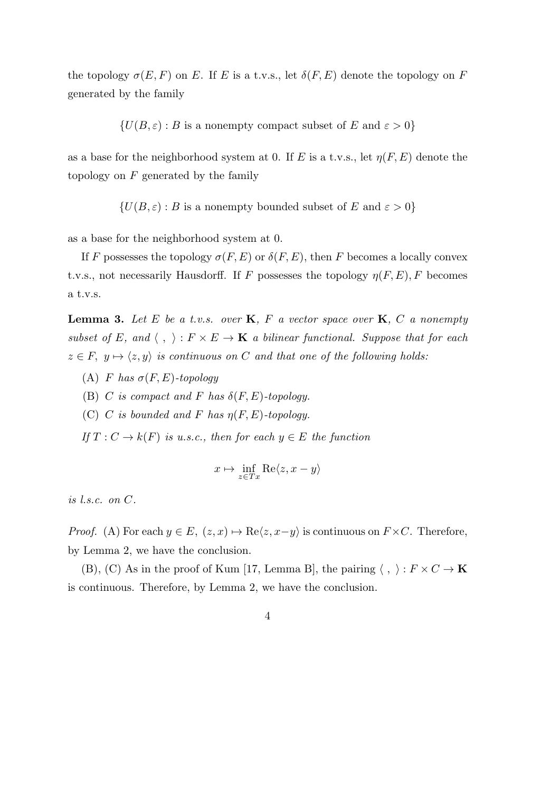the topology  $\sigma(E, F)$  on *E*. If *E* is a t.v.s., let  $\delta(F, E)$  denote the topology on *F* generated by the family

$$
\{U(B, \varepsilon) : B \text{ is a nonempty compact subset of } E \text{ and } \varepsilon > 0\}
$$

as a base for the neighborhood system at 0. If *E* is a t.v.s., let *η*(*F, E*) denote the topology on *F* generated by the family

$$
\{U(B, \varepsilon) : B \text{ is a nonempty bounded subset of } E \text{ and } \varepsilon > 0\}
$$

as a base for the neighborhood system at 0.

If *F* possesses the topology  $\sigma(F, E)$  or  $\delta(F, E)$ , then *F* becomes a locally convex t.v.s., not necessarily Hausdorff. If *F* possesses the topology  $\eta(F, E)$ , *F* becomes a t.v.s.

**Lemma 3.** *Let E be a t.v.s. over* **K***, F a vector space over* **K***, C a nonempty subset of E*, and  $\langle , \rangle : F \times E \to \mathbf{K}$  *a bilinear functional. Suppose that for each*  $z \in F$ ,  $y \mapsto \langle z, y \rangle$  *is continuous on C and that one of the following holds:* 

- (A) *F has σ*(*F, E*)*-topology*
- (B) *C* is compact and *F* has  $\delta(F, E)$ -topology.
- (C) *C* is bounded and *F* has  $\eta(F, E)$ -topology.

*If*  $T: C \to k(F)$  *is u.s.c., then for each*  $y \in E$  *the function* 

$$
x \mapsto \inf_{z \in Tx} \text{Re}\langle z, x - y \rangle
$$

*is l.s.c. on C.*

*Proof.* (A) For each  $y \in E$ ,  $(z, x) \mapsto \text{Re}\langle z, x-y \rangle$  is continuous on  $F \times C$ . Therefore, by Lemma 2, we have the conclusion.

(B), (C) As in the proof of Kum [17, Lemma B], the pairing  $\langle , \rangle : F \times C \to \mathbf{K}$ is continuous. Therefore, by Lemma 2, we have the conclusion.

$$
4\phantom{.0}
$$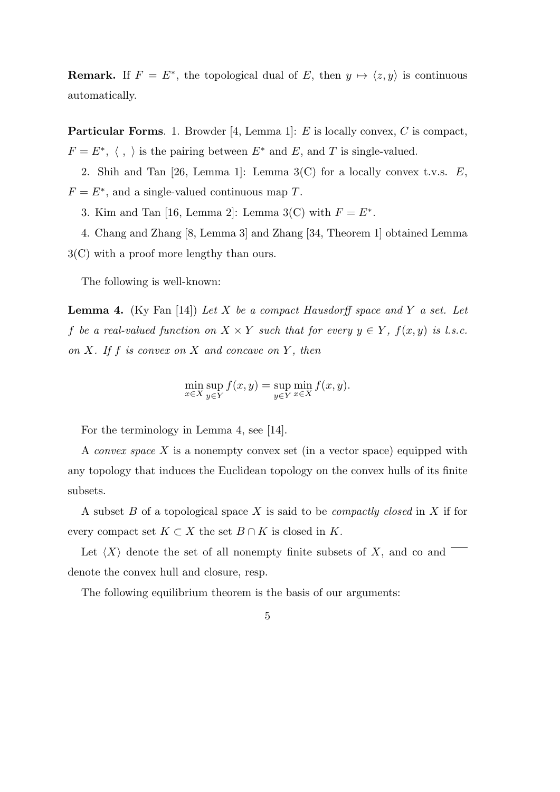**Remark.** If  $F = E^*$ , the topological dual of E, then  $y \mapsto \langle z, y \rangle$  is continuous automatically.

**Particular Forms**. 1. Browder [4, Lemma 1]: *E* is locally convex, *C* is compact,  $F = E^*, \langle , \rangle$  is the pairing between  $E^*$  and  $E$ , and  $T$  is single-valued.

2. Shih and Tan [26, Lemma 1]: Lemma 3(C) for a locally convex t.v.s. *E*,  $F = E^*$ , and a single-valued continuous map *T*.

3. Kim and Tan [16, Lemma 2]: Lemma 3(C) with  $F = E^*$ .

4. Chang and Zhang [8, Lemma 3] and Zhang [34, Theorem 1] obtained Lemma 3(C) with a proof more lengthy than ours.

The following is well-known:

**Lemma 4.** (Ky Fan [14]) *Let X be a compact Hausdorff space and Y a set. Let f be a real-valued function on*  $X \times Y$  *such that for every*  $y \in Y$ ,  $f(x, y)$  *is l.s.c. on X. If f is convex on X and concave on Y , then*

$$
\min_{x \in X} \sup_{y \in Y} f(x, y) = \sup_{y \in Y} \min_{x \in X} f(x, y).
$$

For the terminology in Lemma 4, see [14].

A *convex space X* is a nonempty convex set (in a vector space) equipped with any topology that induces the Euclidean topology on the convex hulls of its finite subsets.

A subset *B* of a topological space *X* is said to be *compactly closed* in *X* if for every compact set  $K \subset X$  the set  $B \cap K$  is closed in  $K$ .

Let  $\langle X \rangle$  denote the set of all nonempty finite subsets of  $X$ , and co and denote the convex hull and closure, resp.

The following equilibrium theorem is the basis of our arguments: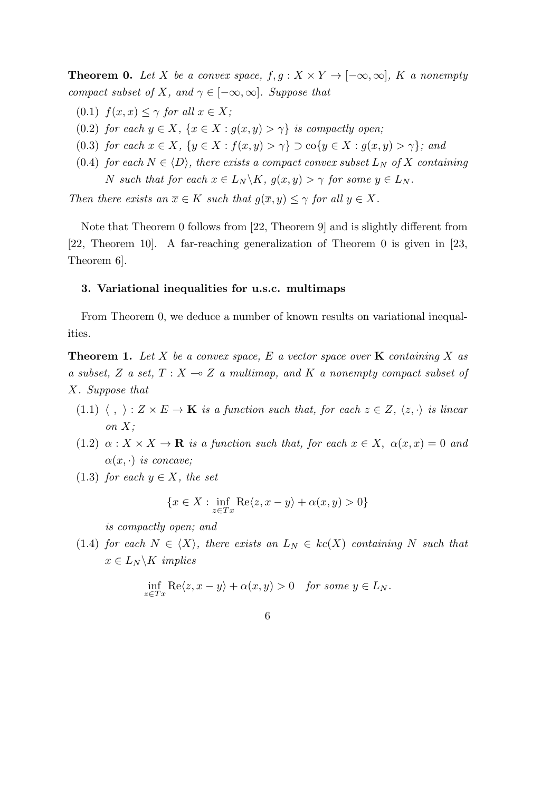**Theorem 0.** Let *X* be a convex space,  $f, g: X \times Y \to [-\infty, \infty]$ , *K* a nonempty *compact subset of X, and*  $\gamma \in [-\infty, \infty]$ *. Suppose that* 

- $f(x, x) \leq \gamma$  *for all*  $x \in X$ ;
- (0.2) *for each*  $y \in X$ ,  $\{x \in X : g(x, y) > \gamma\}$  *is compactly open;*
- (0.3) for each  $x \in X$ ,  $\{y \in X : f(x,y) > \gamma\} \supset \text{co}\{y \in X : g(x,y) > \gamma\}$ ; and
- (0.4) *for each*  $N \in \langle D \rangle$ *, there exists a compact convex subset*  $L_N$  *of*  $X$  *containing N such that for each*  $x \in L_N \backslash K$ ,  $g(x, y) > \gamma$  *for some*  $y \in L_N$ .

*Then there exists an*  $\overline{x} \in K$  *such that*  $g(\overline{x}, y) \leq \gamma$  *for all*  $y \in X$ *.* 

Note that Theorem 0 follows from [22, Theorem 9] and is slightly different from [22, Theorem 10]. A far-reaching generalization of Theorem 0 is given in [23, Theorem 6].

### **3. Variational inequalities for u.s.c. multimaps**

From Theorem 0, we deduce a number of known results on variational inequalities.

**Theorem 1.** Let  $X$  be a convex space,  $E$  a vector space over  $\bf{K}$  containing  $X$  as *a subset,*  $Z$  *a set,*  $T: X \rightarrow Z$  *a multimap, and*  $K$  *a nonempty compact subset of X. Suppose that*

- (1.1)  $\langle , \rangle : Z \times E \to \mathbf{K}$  *is a function such that, for each*  $z \in Z$ ,  $\langle z, \cdot \rangle$  *is linear on X;*
- $(1.2)$   $\alpha: X \times X \to \mathbf{R}$  *is a function such that, for each*  $x \in X$ ,  $\alpha(x, x) = 0$  *and*  $\alpha(x, \cdot)$  *is concave;*
- (1.3) *for each*  $y \in X$ *, the set*

$$
\{x \in X : \inf_{z \in Tx} \text{Re}\langle z, x - y \rangle + \alpha(x, y) > 0\}
$$

*is compactly open; and*

(1.4) *for each*  $N \in \langle X \rangle$ *, there exists an*  $L_N \in kc(X)$  *containing*  $N$  *such that*  $x \in L_N \backslash K$  *implies* 

$$
\inf_{z \in Tx} \text{Re}\langle z, x - y \rangle + \alpha(x, y) > 0 \quad \text{for some } y \in L_N.
$$

6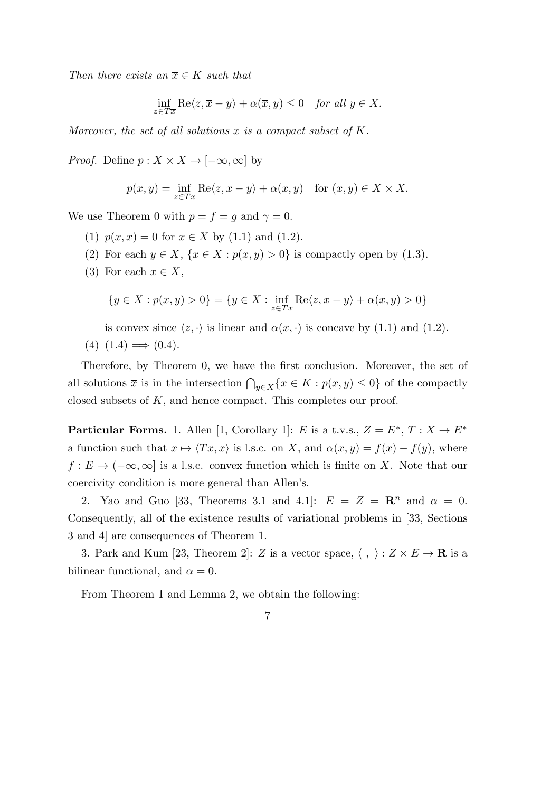*Then there exists an*  $\overline{x} \in K$  *such that* 

$$
\inf_{z \in T\overline{x}} \text{Re}\langle z, \overline{x} - y \rangle + \alpha(\overline{x}, y) \le 0 \quad \text{for all } y \in X.
$$

*Moreover, the set of all solutions*  $\overline{x}$  *is a compact subset of*  $K$ *.* 

*Proof.* Define  $p: X \times X \to [-\infty, \infty]$  by

$$
p(x, y) = \inf_{z \in Tx} \text{Re}\langle z, x - y \rangle + \alpha(x, y) \quad \text{for } (x, y) \in X \times X.
$$

We use Theorem 0 with  $p = f = g$  and  $\gamma = 0$ .

- (1)  $p(x, x) = 0$  for  $x \in X$  by (1.1) and (1.2).
- (2) For each  $y \in X$ ,  $\{x \in X : p(x, y) > 0\}$  is compactly open by (1.3).
- (3) For each  $x \in X$ ,

$$
\{y \in X : p(x, y) > 0\} = \{y \in X : \inf_{z \in Tx} \text{Re}\langle z, x - y \rangle + \alpha(x, y) > 0\}
$$

is convex since  $\langle z, \cdot \rangle$  is linear and  $\alpha(x, \cdot)$  is concave by (1.1) and (1.2).

$$
(4) (1.4) \Longrightarrow (0.4).
$$

Therefore, by Theorem 0, we have the first conclusion. Moreover, the set of all solutions  $\bar{x}$  is in the intersection  $\bigcap_{y \in X} \{x \in K : p(x, y) \leq 0\}$  of the compactly closed subsets of *K*, and hence compact. This completes our proof.

**Particular Forms.** 1. Allen [1, Corollary 1]: *E* is a t.v.s.,  $Z = E^*$ ,  $T : X \to E^*$ a function such that  $x \mapsto \langle Tx, x \rangle$  is l.s.c. on *X*, and  $\alpha(x, y) = f(x) - f(y)$ , where  $f: E \to (-\infty, \infty]$  is a l.s.c. convex function which is finite on *X*. Note that our coercivity condition is more general than Allen's.

2. Yao and Guo [33, Theorems 3.1 and 4.1]:  $E = Z = \mathbb{R}^n$  and  $\alpha = 0$ . Consequently, all of the existence results of variational problems in [33, Sections 3 and 4] are consequences of Theorem 1.

3. Park and Kum [23, Theorem 2]: *Z* is a vector space,  $\langle , \rangle : Z \times E \to \mathbf{R}$  is a bilinear functional, and  $\alpha = 0$ .

From Theorem 1 and Lemma 2, we obtain the following: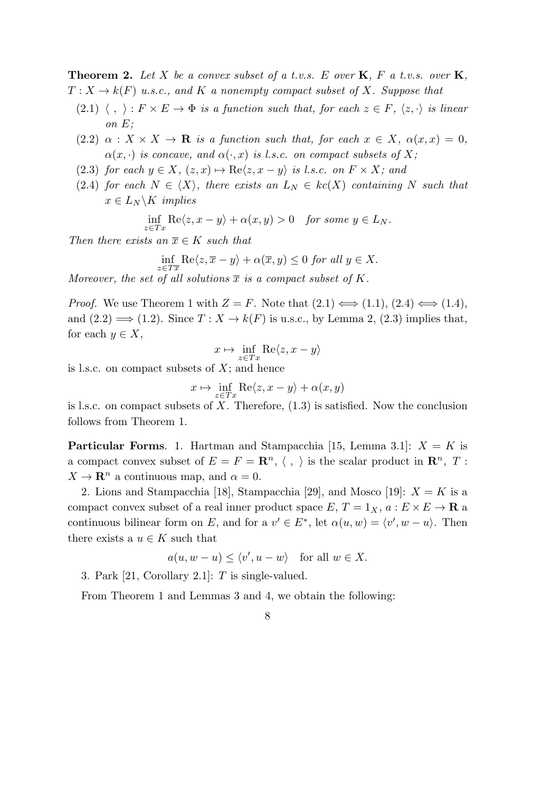**Theorem 2.** *Let X be a convex subset of a t.v.s. E over* **K***, F a t.v.s. over* **K***,*  $T: X \to k(F)$  *u.s.c., and K a nonempty compact subset of X. Suppose that* 

- (2.1)  $\langle , \rangle : F \times E \to \Phi$  *is a function such that, for each*  $z \in F$ *,*  $\langle z, \cdot \rangle$  *is linear on E;*
- $(2.2)$   $\alpha$  :  $X \times X \rightarrow \mathbf{R}$  *is a function such that, for each*  $x \in X$ ,  $\alpha(x, x) = 0$ ,  $\alpha(x, \cdot)$  *is concave, and*  $\alpha(\cdot, x)$  *is l.s.c. on compact subsets of* X;
- (2.3) *for each*  $y \in X$ ,  $(z, x) \mapsto \text{Re}\langle z, x y \rangle$  *is l.s.c. on*  $F \times X$ ; and
- (2.4) *for each*  $N \in \langle X \rangle$ *, there exists an*  $L_N \in kc(X)$  *containing*  $N$  *such that*  $x \in L_N \backslash K$  *implies*

$$
\inf_{z \in Tx} \text{Re}\langle z, x - y \rangle + \alpha(x, y) > 0 \quad \text{for some } y \in L_N.
$$

*Then there exists an*  $\overline{x} \in K$  *such that* 

$$
\inf_{z \in T\overline{x}} \text{Re}\langle z, \overline{x} - y \rangle + \alpha(\overline{x}, y) \le 0 \text{ for all } y \in X.
$$

*Moreover, the set of all solutions*  $\overline{x}$  *is a compact subset of*  $K$ *.* 

*Proof.* We use Theorem 1 with  $Z = F$ . Note that  $(2.1) \iff (1.1), (2.4) \iff (1.4),$ and  $(2.2) \implies (1.2)$ . Since  $T : X \to k(F)$  is u.s.c., by Lemma 2,  $(2.3)$  implies that, for each  $y \in X$ ,

$$
x \mapsto \inf_{z \in Tx} \text{Re}\langle z, x - y \rangle
$$

is l.s.c. on compact subsets of *X*; and hence

$$
x \mapsto \inf_{z \in Tx} \text{Re}\langle z, x - y \rangle + \alpha(x, y)
$$

is l.s.c. on compact subsets of *X*. Therefore, (1.3) is satisfied. Now the conclusion follows from Theorem 1.

**Particular Forms**. 1. Hartman and Stampacchia [15, Lemma 3.1]: *X* = *K* is a compact convex subset of  $E = F = \mathbb{R}^n$ ,  $\langle , \rangle$  is the scalar product in  $\mathbb{R}^n$ ,  $T$ :  $X \to \mathbf{R}^n$  a continuous map, and  $\alpha = 0$ .

2. Lions and Stampacchia [18], Stampacchia [29], and Mosco [19]:  $X = K$  is a compact convex subset of a real inner product space  $E, T = 1_X, a : E \times E \to \mathbf{R}$  a continuous bilinear form on *E*, and for a  $v' \in E^*$ , let  $\alpha(u, w) = \langle v', w - u \rangle$ . Then there exists a  $u \in K$  such that

$$
a(u, w - u) \le \langle v', u - w \rangle
$$
 for all  $w \in X$ .

3. Park [21, Corollary 2.1]: *T* is single-valued.

From Theorem 1 and Lemmas 3 and 4, we obtain the following:

8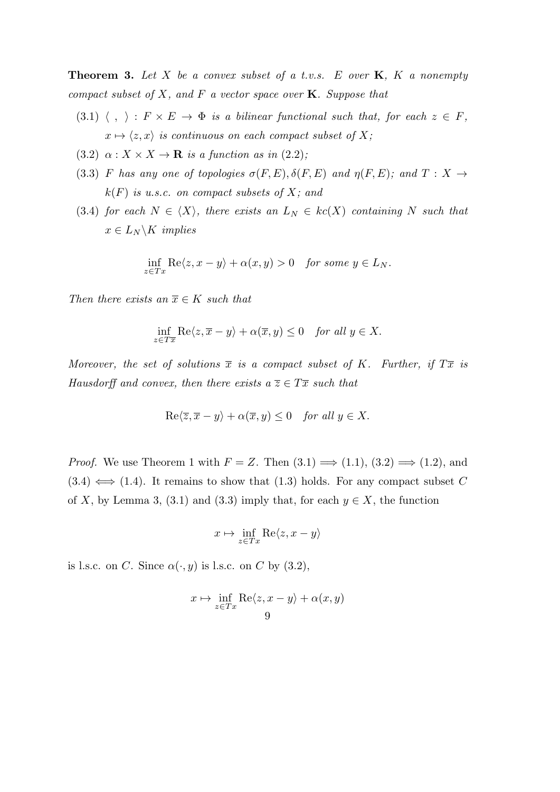**Theorem 3.** *Let X be a convex subset of a t.v.s. E over* **K***, K a nonempty compact subset of X, and F a vector space over* **K***. Suppose that*

- $(3.1) \langle , \rangle : F \times E \to \Phi$  *is a bilinear functional such that, for each*  $z \in F$ ,  $x \mapsto \langle z, x \rangle$  *is continuous on each compact subset of X;*
- (3.2)  $\alpha: X \times X \to \mathbf{R}$  *is a function as in* (2.2);
- (3.3) *F* has any one of topologies  $\sigma(F, E), \delta(F, E)$  and  $\eta(F, E)$ ; and  $T : X \rightarrow$ *k*(*F*) *is u.s.c. on compact subsets of X; and*
- (3.4) *for each*  $N \in \langle X \rangle$ *, there exists an*  $L_N \in kc(X)$  *containing*  $N$  *such that*  $x \in L_N \backslash K$  *implies*

$$
\inf_{z \in Tx} \text{Re}\langle z, x - y \rangle + \alpha(x, y) > 0 \quad \text{for some } y \in L_N.
$$

*Then there exists an*  $\overline{x} \in K$  *such that* 

$$
\inf_{z \in T\overline{x}} \text{Re}\langle z, \overline{x} - y \rangle + \alpha(\overline{x}, y) \le 0 \quad \text{for all } y \in X.
$$

*Moreover, the set of solutions*  $\overline{x}$  *is a compact subset of K. Further, if*  $T\overline{x}$  *is Hausdorff and convex, then there exists a*  $\overline{z} \in T\overline{x}$  *such that* 

$$
\operatorname{Re}\langle \overline{z}, \overline{x} - y \rangle + \alpha(\overline{x}, y) \le 0 \quad \text{for all } y \in X.
$$

*Proof.* We use Theorem 1 with  $F = Z$ . Then  $(3.1) \implies (1.1), (3.2) \implies (1.2),$  and  $(3.4) \iff (1.4)$ . It remains to show that  $(1.3)$  holds. For any compact subset C of *X*, by Lemma 3, (3.1) and (3.3) imply that, for each  $y \in X$ , the function

$$
x\mapsto \inf_{z\in Tx} {\rm Re} \langle z, x-y\rangle
$$

is l.s.c. on *C*. Since  $\alpha(\cdot, y)$  is l.s.c. on *C* by (3.2),

$$
x \mapsto \inf_{z \in Tx} \text{Re}\langle z, x - y \rangle + \alpha(x, y)
$$
9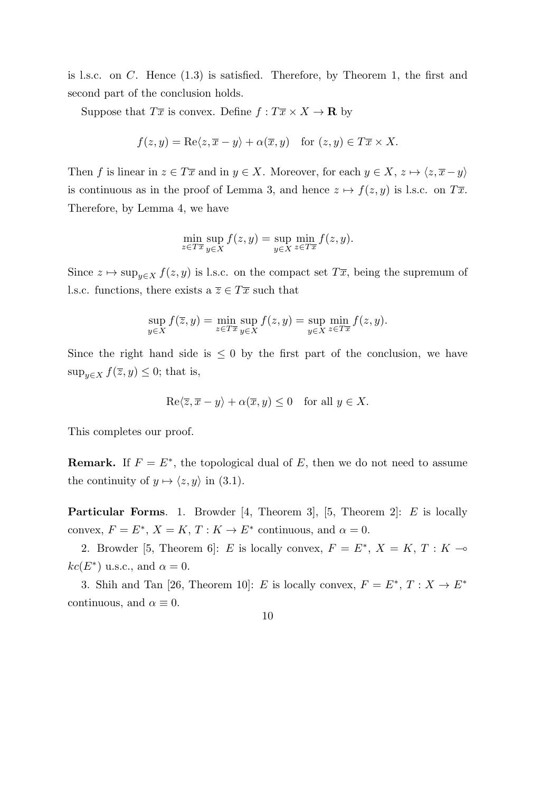is l.s.c. on *C*. Hence (1.3) is satisfied. Therefore, by Theorem 1, the first and second part of the conclusion holds.

Suppose that  $T\overline{x}$  is convex. Define  $f: T\overline{x} \times X \to \mathbf{R}$  by

$$
f(z, y) = \text{Re}\langle z, \overline{x} - y \rangle + \alpha(\overline{x}, y) \quad \text{for } (z, y) \in T\overline{x} \times X.
$$

Then *f* is linear in  $z \in T\overline{x}$  and in  $y \in X$ . Moreover, for each  $y \in X$ ,  $z \mapsto \langle z, \overline{x} - y \rangle$ is continuous as in the proof of Lemma 3, and hence  $z \mapsto f(z, y)$  is l.s.c. on  $T\overline{x}$ . Therefore, by Lemma 4, we have

$$
\min_{z \in T\overline{x}} \sup_{y \in X} f(z, y) = \sup_{y \in X} \min_{z \in T\overline{x}} f(z, y).
$$

Since  $z \mapsto \sup_{y \in X} f(z, y)$  is l.s.c. on the compact set  $T\overline{x}$ , being the supremum of l.s.c. functions, there exists a  $\overline{z} \in T\overline{x}$  such that

$$
\sup_{y \in X} f(\overline{z}, y) = \min_{z \in T\overline{x}} \sup_{y \in X} f(z, y) = \sup_{y \in X} \min_{z \in T\overline{x}} f(z, y).
$$

Since the right hand side is  $\leq 0$  by the first part of the conclusion, we have sup<sub>*y*</sub> $\in$ *X*  $f(\overline{z}, y) \leq 0$ ; that is,

$$
\operatorname{Re}\langle \overline{z}, \overline{x} - y \rangle + \alpha(\overline{x}, y) \le 0 \quad \text{for all } y \in X.
$$

This completes our proof.

**Remark.** If  $F = E^*$ , the topological dual of  $E$ , then we do not need to assume the continuity of  $y \mapsto \langle z, y \rangle$  in (3.1).

**Particular Forms**. 1. Browder [4, Theorem 3], [5, Theorem 2]: *E* is locally convex,  $F = E^*$ ,  $X = K$ ,  $T : K \to E^*$  continuous, and  $\alpha = 0$ .

2. Browder [5, Theorem 6]: *E* is locally convex,  $F = E^*$ ,  $X = K$ ,  $T : K \rightarrow$  $kc(E^*)$  u.s.c., and  $\alpha = 0$ .

3. Shih and Tan [26, Theorem 10]: *E* is locally convex,  $F = E^*, T : X \to E^*$ continuous, and  $\alpha \equiv 0$ .

10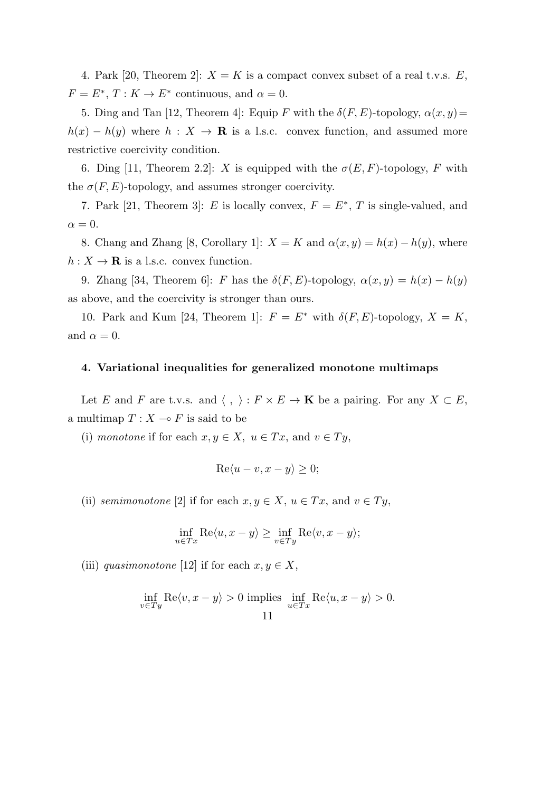4. Park [20, Theorem 2]:  $X = K$  is a compact convex subset of a real t.v.s.  $E$ ,  $F = E^*, T : K \to E^*$  continuous, and  $\alpha = 0$ .

5. Ding and Tan [12, Theorem 4]: Equip *F* with the  $\delta(F, E)$ -topology,  $\alpha(x, y)$  =  $h(x) - h(y)$  where  $h: X \to \mathbf{R}$  is a l.s.c. convex function, and assumed more restrictive coercivity condition.

6. Ding [11, Theorem 2.2]: *X* is equipped with the  $\sigma(E, F)$ -topology, *F* with the  $\sigma(F, E)$ -topology, and assumes stronger coercivity.

7. Park [21, Theorem 3]: *E* is locally convex,  $F = E^*$ , *T* is single-valued, and  $\alpha = 0$ .

8. Chang and Zhang [8, Corollary 1]:  $X = K$  and  $\alpha(x, y) = h(x) - h(y)$ , where  $h: X \to \mathbf{R}$  is a l.s.c. convex function.

9. Zhang [34, Theorem 6]: *F* has the  $\delta(F, E)$ -topology,  $\alpha(x, y) = h(x) - h(y)$ as above, and the coercivity is stronger than ours.

10. Park and Kum [24, Theorem 1]:  $F = E^*$  with  $\delta(F, E)$ -topology,  $X = K$ , and  $\alpha = 0$ .

### **4. Variational inequalities for generalized monotone multimaps**

Let *E* and *F* are t.v.s. and  $\langle , \rangle : F \times E \to \mathbf{K}$  be a pairing. For any  $X \subset E$ , a multimap  $T: X \to F$  is said to be

(i) *monotone* if for each  $x, y \in X$ ,  $u \in Tx$ , and  $v \in Ty$ ,

$$
\operatorname{Re}\langle u-v, x-y \rangle \ge 0;
$$

(ii) *semimonotone* [2] if for each  $x, y \in X$ ,  $u \in Tx$ , and  $v \in Ty$ ,

$$
\inf_{u \in Tx} \text{Re}\langle u, x - y \rangle \ge \inf_{v \in Ty} \text{Re}\langle v, x - y \rangle;
$$

(iii) *quasimonotone* [12] if for each  $x, y \in X$ ,

$$
\inf_{v \in Ty} \text{Re}\langle v, x - y \rangle > 0 \text{ implies } \inf_{u \in Tx} \text{Re}\langle u, x - y \rangle > 0.
$$
11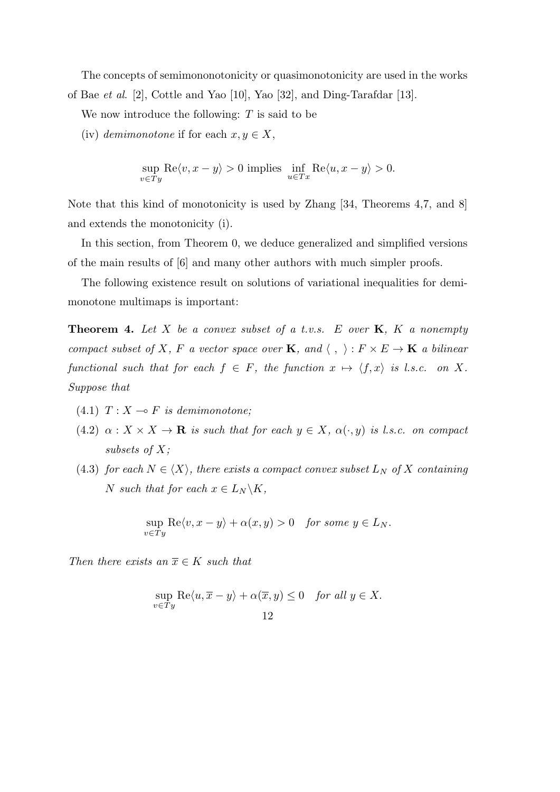The concepts of semimononotonicity or quasimonotonicity are used in the works of Bae *et al*. [2], Cottle and Yao [10], Yao [32], and Ding-Tarafdar [13].

We now introduce the following: *T* is said to be

(iv) *demimonotone* if for each  $x, y \in X$ ,

$$
\sup_{v \in Ty} \text{Re}\langle v, x - y \rangle > 0 \text{ implies } \inf_{u \in Tx} \text{Re}\langle u, x - y \rangle > 0.
$$

Note that this kind of monotonicity is used by Zhang [34, Theorems 4,7, and 8] and extends the monotonicity (i).

In this section, from Theorem 0, we deduce generalized and simplified versions of the main results of [6] and many other authors with much simpler proofs.

The following existence result on solutions of variational inequalities for demimonotone multimaps is important:

**Theorem 4.** *Let X be a convex subset of a t.v.s. E over* **K***, K a nonempty compact subset of X, F a* vector space over **K***,* and  $\langle , \rangle : F \times E \to \mathbf{K}$  *a bilinear functional such that for each*  $f \in F$ *, the function*  $x \mapsto \langle f, x \rangle$  *is l.s.c. on X. Suppose that*

- $(4.1)$   $T: X \rightarrow F$  *is demimonotone;*
- $(4.2)$   $\alpha: X \times X \to \mathbf{R}$  *is such that for each*  $y \in X$ *,*  $\alpha(\cdot, y)$  *is l.s.c. on compact subsets of X;*
- (4.3) *for each*  $N \in \langle X \rangle$ *, there exists a compact convex subset*  $L_N$  *of*  $X$  *containing N such that for each*  $x \in L_N \backslash K$ *,*

$$
\sup_{v \in Ty} \text{Re}\langle v, x - y \rangle + \alpha(x, y) > 0 \quad \text{for some } y \in L_N.
$$

*Then there exists an*  $\overline{x} \in K$  *such that* 

$$
\sup_{v \in Ty} \text{Re}\langle u, \overline{x} - y \rangle + \alpha(\overline{x}, y) \le 0 \quad \text{for all } y \in X.
$$
  
12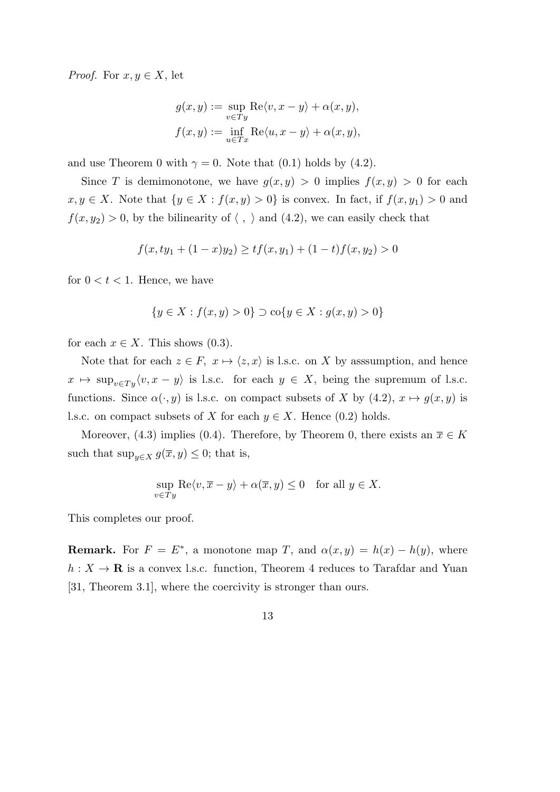*Proof.* For  $x, y \in X$ , let

$$
g(x, y) := \sup_{v \in Ty} \text{Re}\langle v, x - y \rangle + \alpha(x, y),
$$

$$
f(x, y) := \inf_{u \in Tx} \text{Re}\langle u, x - y \rangle + \alpha(x, y),
$$

and use Theorem 0 with  $\gamma = 0$ . Note that (0.1) holds by (4.2).

Since *T* is demimonotone, we have  $g(x, y) > 0$  implies  $f(x, y) > 0$  for each *x, y* ∈ *X*. Note that  $\{y \in X : f(x, y) > 0\}$  is convex. In fact, if  $f(x, y_1) > 0$  and  $f(x, y_2) > 0$ , by the bilinearity of  $\langle , \rangle$  and  $(4.2)$ , we can easily check that

$$
f(x, ty_1 + (1 - x)y_2) \ge tf(x, y_1) + (1 - t)f(x, y_2) > 0
$$

for  $0 < t < 1$ . Hence, we have

$$
\{y \in X : f(x, y) > 0\} \supset \text{co}\{y \in X : g(x, y) > 0\}
$$

for each  $x \in X$ . This shows  $(0.3)$ .

Note that for each  $z \in F$ ,  $x \mapsto \langle z, x \rangle$  is l.s.c. on *X* by assumption, and hence  $x \mapsto \sup_{v \in Ty} \langle v, x - y \rangle$  is l.s.c. for each  $y \in X$ , being the supremum of l.s.c. functions. Since  $\alpha(\cdot, y)$  is l.s.c. on compact subsets of *X* by (4.2),  $x \mapsto g(x, y)$  is l.s.c. on compact subsets of *X* for each  $y \in X$ . Hence (0.2) holds.

Moreover, (4.3) implies (0.4). Therefore, by Theorem 0, there exists an  $\overline{x} \in K$ such that  $\sup_{y \in X} g(\overline{x}, y) \leq 0$ ; that is,

$$
\sup_{v \in Ty} \text{Re}\langle v, \overline{x} - y \rangle + \alpha(\overline{x}, y) \le 0 \quad \text{for all } y \in X.
$$

This completes our proof.

**Remark.** For  $F = E^*$ , a monotone map *T*, and  $\alpha(x, y) = h(x) - h(y)$ , where  $h: X \to \mathbf{R}$  is a convex l.s.c. function, Theorem 4 reduces to Tarafdar and Yuan [31, Theorem 3.1], where the coercivity is stronger than ours.

13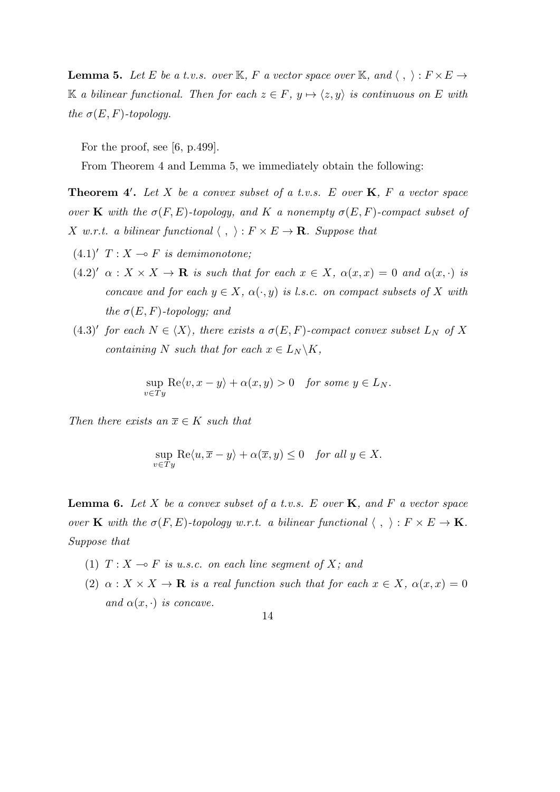**Lemma 5.** Let *E* be a t.v.s. over K<sub>i</sub>, *F* a vector space over K<sub>i</sub>, and  $\langle , \rangle : F \times E \rightarrow$ K *a bilinear functional. Then for each*  $z \in F$ ,  $y \mapsto \langle z, y \rangle$  *is continuous on E with the*  $\sigma(E, F)$ *-topology.* 

For the proof, see  $(6, p.499)$ .

From Theorem 4 and Lemma 5, we immediately obtain the following:

**Theorem 4***′* **.** *Let X be a convex subset of a t.v.s. E over* **K***, F a vector space over* **K** *with the*  $\sigma(F, E)$ *-topology, and K a nonempty*  $\sigma(E, F)$ *-compact subset of X w.r.t. a bilinear functional*  $\langle , \rangle : F \times E \to \mathbf{R}$ *. Suppose that* 

- $(4.1)'$   $T: X \rightarrow F$  *is demimonotone;*
- $(4.2)'$   $\alpha: X \times X \to \mathbf{R}$  *is such that for each*  $x \in X$ ,  $\alpha(x, x) = 0$  *and*  $\alpha(x, \cdot)$  *is concave and for each*  $y \in X$ *,*  $\alpha(\cdot, y)$  *is l.s.c. on compact subsets of X with the*  $\sigma(E, F)$ -topology; and
- $(4.3)'$  for each  $N \in \langle X \rangle$ , there exists a  $\sigma(E, F)$ -compact convex subset  $L_N$  of X *containing N such that for each*  $x \in L_N \backslash K$ *,*

$$
\sup_{v \in Ty} \text{Re}\langle v, x - y \rangle + \alpha(x, y) > 0 \quad \text{for some } y \in L_N.
$$

*Then there exists an*  $\overline{x} \in K$  *such that* 

$$
\sup_{v \in Ty} \text{Re}\langle u, \overline{x} - y \rangle + \alpha(\overline{x}, y) \le 0 \quad \text{for all } y \in X.
$$

**Lemma 6.** *Let X be a convex subset of a t.v.s. E over* **K***, and F a vector space over* **K** *with the*  $\sigma(F, E)$ *-topology w.r.t. a bilinear functional*  $\langle , \rangle : F \times E \to \mathbf{K}$ *. Suppose that*

- (1)  $T: X \rightarrow F$  *is u.s.c. on each line segment of X; and*
- (2)  $\alpha: X \times X \to \mathbf{R}$  *is a real function such that for each*  $x \in X$ ,  $\alpha(x, x) = 0$ *and*  $\alpha(x, \cdot)$  *is concave.*

14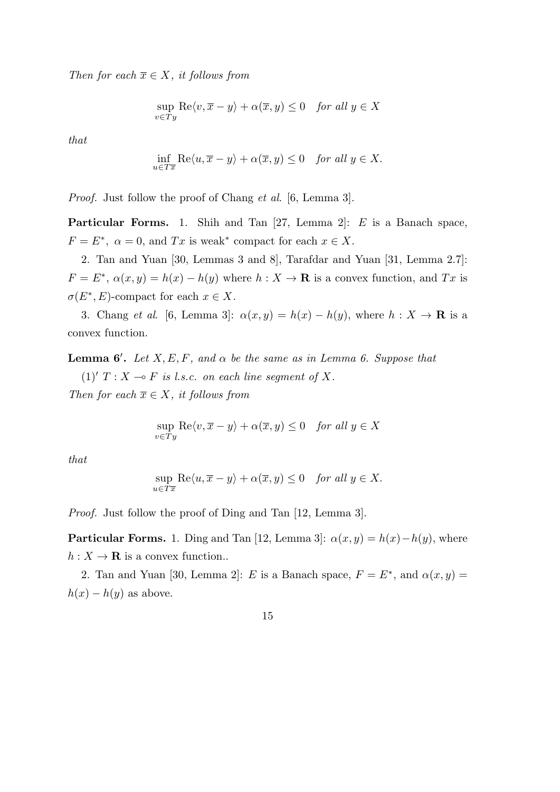*Then for each*  $\overline{x} \in X$ *, it follows from* 

$$
\sup_{v \in Ty} \text{Re}\langle v, \overline{x} - y \rangle + \alpha(\overline{x}, y) \le 0 \quad \text{for all } y \in X
$$

*that*

$$
\inf_{u \in T\overline{x}} \text{Re}\langle u, \overline{x} - y \rangle + \alpha(\overline{x}, y) \le 0 \quad \text{for all } y \in X.
$$

*Proof.* Just follow the proof of Chang *et al*. [6, Lemma 3].

**Particular Forms.** 1. Shih and Tan [27, Lemma 2]: *E* is a Banach space,  $F = E^*$ ,  $\alpha = 0$ , and *Tx* is weak<sup>\*</sup> compact for each  $x \in X$ .

2. Tan and Yuan [30, Lemmas 3 and 8], Tarafdar and Yuan [31, Lemma 2.7]:  $F = E^*$ ,  $\alpha(x, y) = h(x) - h(y)$  where  $h: X \to \mathbf{R}$  is a convex function, and  $Tx$  is  $\sigma(E^*, E)$ -compact for each  $x \in X$ .

3. Chang *et al.* [6, Lemma 3]:  $\alpha(x, y) = h(x) - h(y)$ , where  $h: X \to \mathbf{R}$  is a convex function.

**Lemma 6<sup>***'***</sup>.** *Let*  $X, E, F$ *, and*  $\alpha$  *be the same as in Lemma 6. Suppose that* 

 $(1)'$   $T : X \rightarrow F$  *is l.s.c. on each line seqment of* X.

*Then for each*  $\overline{x} \in X$ *, it follows from* 

$$
\sup_{v \in Ty} \text{Re}\langle v, \overline{x} - y \rangle + \alpha(\overline{x}, y) \le 0 \quad \text{for all } y \in X
$$

*that*

$$
\sup_{u \in T\overline{x}} \text{Re}\langle u, \overline{x} - y \rangle + \alpha(\overline{x}, y) \le 0 \quad \text{for all } y \in X.
$$

*Proof.* Just follow the proof of Ding and Tan [12, Lemma 3].

**Particular Forms.** 1. Ding and Tan [12, Lemma 3]:  $\alpha(x, y) = h(x) - h(y)$ , where  $h: X \to \mathbf{R}$  is a convex function..

2. Tan and Yuan [30, Lemma 2]: *E* is a Banach space,  $F = E^*$ , and  $\alpha(x, y) =$  $h(x) - h(y)$  as above.

15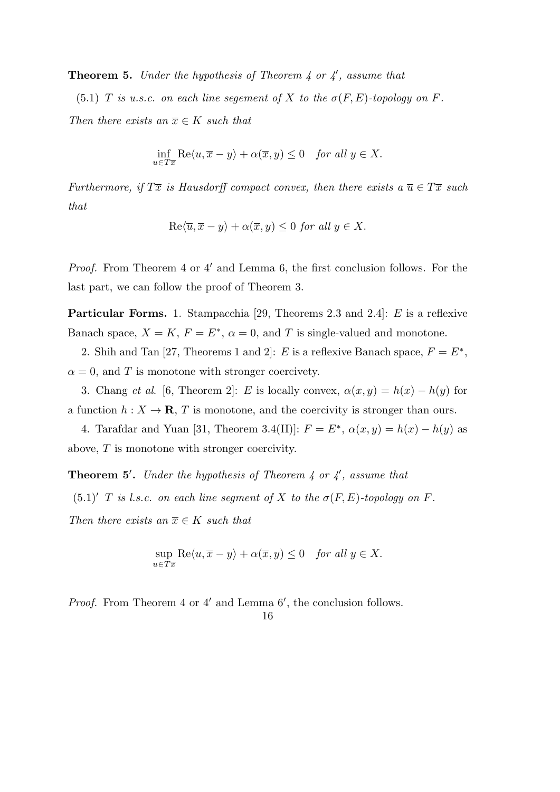**Theorem 5.** *Under the hypothesis of Theorem 4 or 4′ , assume that*

(5.1) *T is u.s.c.* on each line sequent of *X* to the  $\sigma(F, E)$ -topology on *F*. *Then there exists an*  $\overline{x} \in K$  *such that* 

$$
\inf_{u \in T\overline{x}} \text{Re}\langle u, \overline{x} - y \rangle + \alpha(\overline{x}, y) \le 0 \quad \text{for all } y \in X.
$$

*Furthermore, if*  $T\overline{x}$  *is Hausdorff compact convex, then there exists a*  $\overline{u} \in T\overline{x}$  *such that*

$$
\text{Re}\langle \overline{u}, \overline{x} - y \rangle + \alpha(\overline{x}, y) \leq 0 \text{ for all } y \in X.
$$

*Proof.* From Theorem 4 or 4' and Lemma 6, the first conclusion follows. For the last part, we can follow the proof of Theorem 3.

**Particular Forms.** 1. Stampacchia [29, Theorems 2.3 and 2.4]: *E* is a reflexive Banach space,  $X = K$ ,  $F = E^*$ ,  $\alpha = 0$ , and *T* is single-valued and monotone.

2. Shih and Tan [27, Theorems 1 and 2]: *E* is a reflexive Banach space,  $F = E^*$ ,  $\alpha = 0$ , and *T* is monotone with stronger coercivety.

3. Chang *et al.* [6, Theorem 2]: *E* is locally convex,  $\alpha(x, y) = h(x) - h(y)$  for a function  $h: X \to \mathbf{R}$ , *T* is monotone, and the coercivity is stronger than ours.

4. Tarafdar and Yuan [31, Theorem 3.4(II)]:  $F = E^*$ ,  $\alpha(x, y) = h(x) - h(y)$  as above, *T* is monotone with stronger coercivity.

**Theorem 5***′* **.** *Under the hypothesis of Theorem 4 or 4′ , assume that*  $(5.1)'$  *T is l.s.c. on each line segment of X to the*  $\sigma(F, E)$ *-topology on F*. *Then there exists an*  $\overline{x} \in K$  *such that* 

$$
\sup_{u \in T\overline{x}} \text{Re}\langle u, \overline{x} - y \rangle + \alpha(\overline{x}, y) \le 0 \quad \text{for all } y \in X.
$$

*Proof.* From Theorem 4 or 4' and Lemma 6', the conclusion follows.

#### 16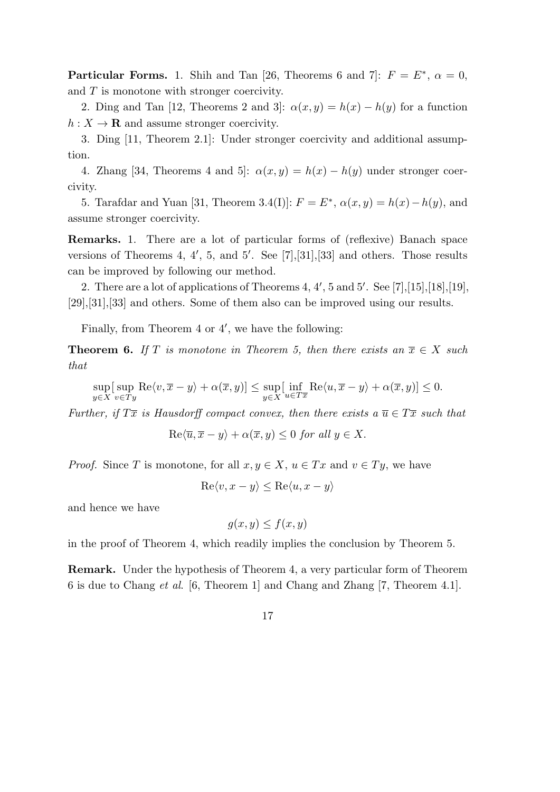**Particular Forms.** 1. Shih and Tan [26, Theorems 6 and 7]:  $F = E^*$ ,  $\alpha = 0$ , and *T* is monotone with stronger coercivity.

2. Ding and Tan [12, Theorems 2 and 3]:  $\alpha(x, y) = h(x) - h(y)$  for a function  $h: X \to \mathbf{R}$  and assume stronger coercivity.

3. Ding [11, Theorem 2.1]: Under stronger coercivity and additional assumption.

4. Zhang [34, Theorems 4 and 5]:  $\alpha(x, y) = h(x) - h(y)$  under stronger coercivity.

5. Tarafdar and Yuan [31, Theorem 3.4(I)]:  $F = E^*$ ,  $\alpha(x, y) = h(x) - h(y)$ , and assume stronger coercivity.

**Remarks.** 1. There are a lot of particular forms of (reflexive) Banach space versions of Theorems 4, 4*′* , 5, and 5*′* . See [7],[31],[33] and others. Those results can be improved by following our method.

2. There are a lot of applications of Theorems 4, 4*′* , 5 and 5*′* . See [7],[15],[18],[19], [29],[31],[33] and others. Some of them also can be improved using our results.

Finally, from Theorem 4 or 4*′* , we have the following:

**Theorem 6.** If *T* is monotone in Theorem 5, then there exists an  $\overline{x} \in X$  such *that*

$$
\sup_{y \in X} [\sup_{v \in Ty} \text{Re}\langle v, \overline{x} - y \rangle + \alpha(\overline{x}, y)] \le \sup_{y \in X} [\inf_{u \in T\overline{x}} \text{Re}\langle u, \overline{x} - y \rangle + \alpha(\overline{x}, y)] \le 0.
$$

*Further, if*  $T\overline{x}$  *is Hausdorff compact convex, then there exists a*  $\overline{u} \in T\overline{x}$  *such that* 

$$
\operatorname{Re}\langle \overline{u}, \overline{x} - y \rangle + \alpha(\overline{x}, y) \le 0 \text{ for all } y \in X.
$$

*Proof.* Since *T* is monotone, for all  $x, y \in X$ ,  $u \in Tx$  and  $v \in Ty$ , we have

$$
\text{Re}\langle v, x - y \rangle \le \text{Re}\langle u, x - y \rangle
$$

and hence we have

$$
g(x, y) \le f(x, y)
$$

in the proof of Theorem 4, which readily implies the conclusion by Theorem 5.

**Remark.** Under the hypothesis of Theorem 4, a very particular form of Theorem 6 is due to Chang *et al*. [6, Theorem 1] and Chang and Zhang [7, Theorem 4.1].

$$
17\,
$$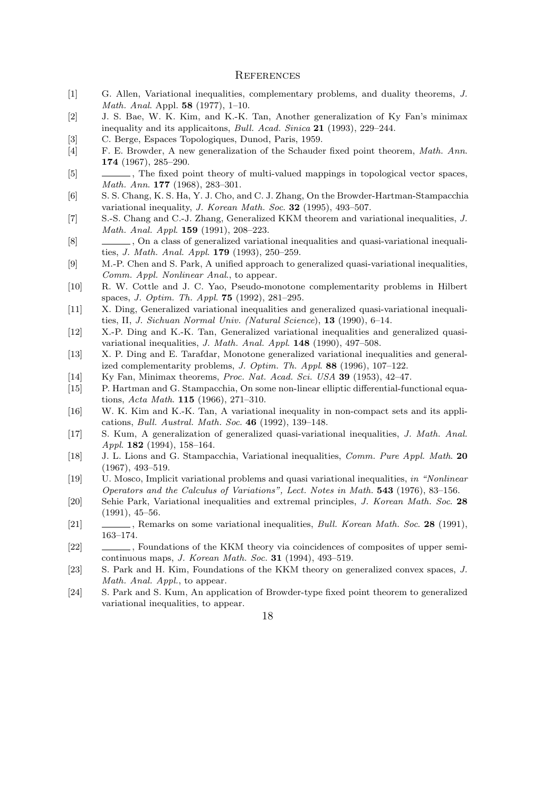#### **REFERENCES**

- [1] G. Allen, Variational inequalities, complementary problems, and duality theorems, *J. Math. Anal*. Appl. **58** (1977), 1–10.
- [2] J. S. Bae, W. K. Kim, and K.-K. Tan, Another generalization of Ky Fan's minimax inequality and its applicaitons, *Bull. Acad. Sinica* **21** (1993), 229–244.
- [3] C. Berge, Espaces Topologiques, Dunod, Paris, 1959.
- [4] F. E. Browder, A new generalization of the Schauder fixed point theorem, *Math. Ann*. **174** (1967), 285–290.
- [5]  $\qquad \qquad$ , The fixed point theory of multi-valued mappings in topological vector spaces, *Math. Ann*. **177** (1968), 283–301.
- [6] S. S. Chang, K. S. Ha, Y. J. Cho, and C. J. Zhang, On the Browder-Hartman-Stampacchia variational inequality, *J. Korean Math. Soc*. **32** (1995), 493–507.
- [7] S.-S. Chang and C.-J. Zhang, Generalized KKM theorem and variational inequalities, *J. Math. Anal. Appl*. **159** (1991), 208–223.
- [8] , On a class of generalized variational inequalities and quasi-variational inequalities, *J. Math. Anal. Appl*. **179** (1993), 250–259.
- [9] M.-P. Chen and S. Park, A unified approach to generalized quasi-variational inequalities, *Comm. Appl. Nonlinear Anal*., to appear.
- [10] R. W. Cottle and J. C. Yao, Pseudo-monotone complementarity problems in Hilbert spaces, *J. Optim. Th. Appl*. **75** (1992), 281–295.
- [11] X. Ding, Generalized variational inequalities and generalized quasi-variational inequalities, II, *J. Sichuan Normal Univ. (Natural Science*), **13** (1990), 6–14.
- [12] X.-P. Ding and K.-K. Tan, Generalized variational inequalities and generalized quasivariational inequalities, *J. Math. Anal. Appl*. **148** (1990), 497–508.
- [13] X. P. Ding and E. Tarafdar, Monotone generalized variational inequalities and generalized complementarity problems, *J. Optim. Th. Appl*. **88** (1996), 107–122.
- [14] Ky Fan, Minimax theorems, *Proc. Nat. Acad. Sci. USA* **39** (1953), 42–47.
- [15] P. Hartman and G. Stampacchia, On some non-linear elliptic differential-functional equations, *Acta Math*. **115** (1966), 271–310.
- [16] W. K. Kim and K.-K. Tan, A variational inequality in non-compact sets and its applications, *Bull. Austral. Math. Soc*. **46** (1992), 139–148.
- [17] S. Kum, A generalization of generalized quasi-variational inequalities, *J. Math. Anal. Appl*. **182** (1994), 158–164.
- [18] J. L. Lions and G. Stampacchia, Variational inequalities, *Comm. Pure Appl. Math*. **20** (1967), 493–519.
- [19] U. Mosco, Implicit variational problems and quasi variational inequalities, *in "Nonlinear Operators and the Calculus of Variations", Lect. Notes in Math.* **543** (1976), 83–156.
- [20] Sehie Park, Variational inequalities and extremal principles, *J. Korean Math. Soc*. **28** (1991), 45–56.
- [21] , Remarks on some variational inequalities, *Bull. Korean Math. Soc*. **28** (1991), 163–174.
- [22] , Foundations of the KKM theory via coincidences of composites of upper semicontinuous maps, *J. Korean Math. Soc.* **31** (1994), 493–519.
- [23] S. Park and H. Kim, Foundations of the KKM theory on generalized convex spaces, *J. Math. Anal. Appl.*, to appear.
- [24] S. Park and S. Kum, An application of Browder-type fixed point theorem to generalized variational inequalities, to appear.

18